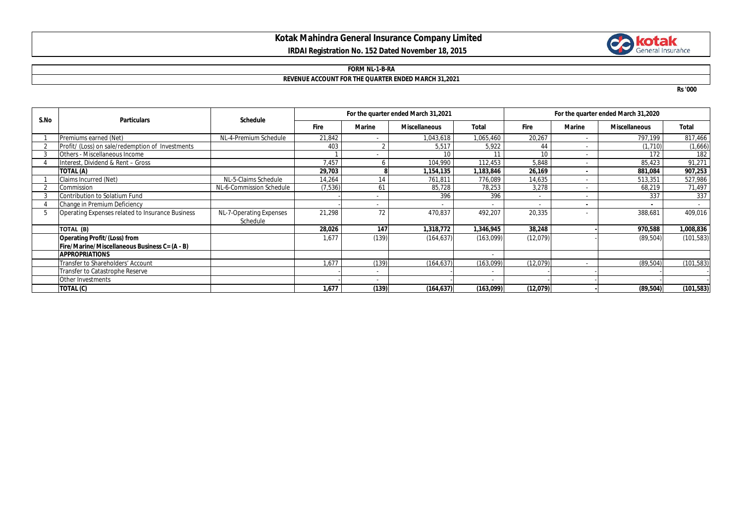## **Kotak Mahindra General Insurance Company Limited IRDAI Registration No. 152 Dated November 18, 2015**



#### **FORM NL-1-B-RA**

### **REVENUE ACCOUNT FOR THE QUARTER ENDED MARCH 31,2021**

**Rs '000**

| S.No | <b>Particulars</b>                               | <b>Schedule</b>          | For the quarter ended March 31,2021 |               |                      |              | For the quarter ended March 31,2020 |               |                      |              |
|------|--------------------------------------------------|--------------------------|-------------------------------------|---------------|----------------------|--------------|-------------------------------------|---------------|----------------------|--------------|
|      |                                                  |                          | <b>Fire</b>                         | <b>Marine</b> | <b>Miscellaneous</b> | <b>Total</b> | <b>Fire</b>                         | <b>Marine</b> | <b>Miscellaneous</b> | <b>Total</b> |
|      | Premiums earned (Net)                            | NL-4-Premium Schedule    | 21,842                              |               | 1,043,618            | 1,065,460    | 20,267                              |               | 797,199              | 817,466      |
|      | Profit/ (Loss) on sale/redemption of Investments |                          | 403                                 |               | 5,517                | 5,922        | 44                                  |               | (1,710)              | (1,666)      |
|      | Others - Miscellaneous Income                    |                          |                                     |               | 10                   |              | 10                                  |               | 172                  | 182          |
|      | Interest, Dividend & Rent - Gross                |                          | 7,457                               | h             | 104,990              | 112,453      | 5,848                               |               | 85,423               | 91,271       |
|      | TOTAL (A)                                        |                          | 29,703                              |               | 1,154,135            | 1,183,846    | 26,169                              |               | 881.084              | 907,253      |
|      | Claims Incurred (Net)                            | NL-5-Claims Schedule     | 14,264                              | 14            | 761.811              | 776,089      | 14,635                              |               | 513,351              | 527,986      |
|      | Commission                                       | NL-6-Commission Schedule | (7, 536)                            | 61            | 85,728               | 78,253       | 3,278                               |               | 68,219               | 71,497       |
|      | Contribution to Solatium Fund                    |                          |                                     | ۰             | 396                  | 396          | $\sim$                              |               | 337                  | 337          |
|      | Change in Premium Deficiency                     |                          |                                     |               |                      |              |                                     |               |                      |              |
| 5    | Operating Expenses related to Insurance Business | NL-7-Operating Expenses  | 21,298                              | 72            | 470,837              | 492,207      | 20,335                              |               | 388,681              | 409,016      |
|      |                                                  | Schedule                 |                                     |               |                      |              |                                     |               |                      |              |
|      | TOTAL (B)                                        |                          | 28,026                              | 147           | 1,318,772            | 1,346,945    | 38,248                              |               | 970,588              | ,008,836     |
|      | <b>Operating Profit/(Loss) from</b>              |                          | 1,677                               | (139)         | (164, 637)           | (163,099)    | (12,079)                            |               | (89, 504)            | (101, 583)   |
|      | Fire/Marine/Miscellaneous Business C= (A - B)    |                          |                                     |               |                      |              |                                     |               |                      |              |
|      | <b>APPROPRIATIONS</b>                            |                          |                                     |               |                      |              |                                     |               |                      |              |
|      | Transfer to Shareholders' Account                |                          | 1.677                               | (139)         | (164, 637)           | (163,099)    | (12,079)                            |               | (89, 504)            | (101, 583)   |
|      | Transfer to Catastrophe Reserve                  |                          |                                     |               |                      |              |                                     |               |                      |              |
|      | Other Investments                                |                          |                                     |               |                      |              |                                     |               |                      |              |
|      | TOTAL (C)                                        |                          | 1,677                               | (139)         | (164, 637)           | (163,099)    | (12, 079)                           |               | (89, 504)            | (101, 583)   |